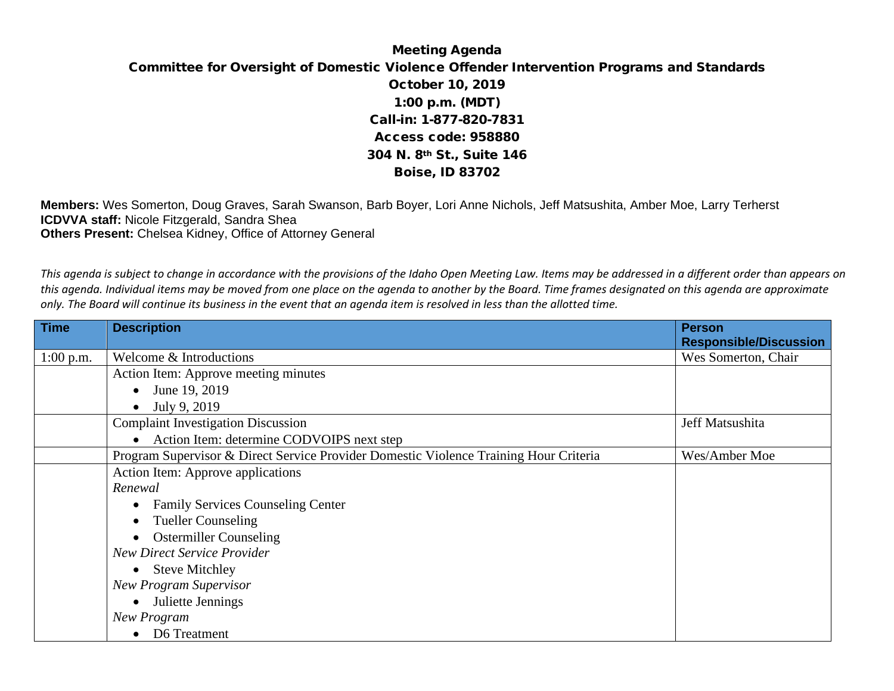## Meeting Agenda Committee for Oversight of Domestic Violence Offender Intervention Programs and Standards October 10, 2019 1:00 p.m. (MDT) Call-in: 1-877-820-7831 Access code: 958880 304 N. 8th St., Suite 146 Boise, ID 83702

**Members:** Wes Somerton, Doug Graves, Sarah Swanson, Barb Boyer, Lori Anne Nichols, Jeff Matsushita, Amber Moe, Larry Terherst **ICDVVA staff:** Nicole Fitzgerald, Sandra Shea **Others Present:** Chelsea Kidney, Office of Attorney General

*This agenda is subject to change in accordance with the provisions of the Idaho Open Meeting Law. Items may be addressed in a different order than appears on this agenda. Individual items may be moved from one place on the agenda to another by the Board. Time frames designated on this agenda are approximate only. The Board will continue its business in the event that an agenda item is resolved in less than the allotted time.*

| <b>Time</b> | <b>Description</b>                                                                    | <b>Person</b><br><b>Responsible/Discussion</b> |
|-------------|---------------------------------------------------------------------------------------|------------------------------------------------|
| $1:00$ p.m. | Welcome & Introductions                                                               | Wes Somerton, Chair                            |
|             | Action Item: Approve meeting minutes                                                  |                                                |
|             | June 19, 2019<br>$\bullet$                                                            |                                                |
|             | July 9, 2019<br>$\bullet$                                                             |                                                |
|             | <b>Complaint Investigation Discussion</b>                                             | Jeff Matsushita                                |
|             | Action Item: determine CODVOIPS next step<br>$\bullet$                                |                                                |
|             | Program Supervisor & Direct Service Provider Domestic Violence Training Hour Criteria | Wes/Amber Moe                                  |
|             | Action Item: Approve applications                                                     |                                                |
|             | Renewal                                                                               |                                                |
|             | <b>Family Services Counseling Center</b><br>$\bullet$                                 |                                                |
|             | <b>Tueller Counseling</b><br>$\bullet$                                                |                                                |
|             | <b>Ostermiller Counseling</b><br>$\bullet$                                            |                                                |
|             | <b>New Direct Service Provider</b>                                                    |                                                |
|             | • Steve Mitchley                                                                      |                                                |
|             | <b>New Program Supervisor</b>                                                         |                                                |
|             | Juliette Jennings<br>$\bullet$                                                        |                                                |
|             | New Program                                                                           |                                                |
|             | D6 Treatment                                                                          |                                                |